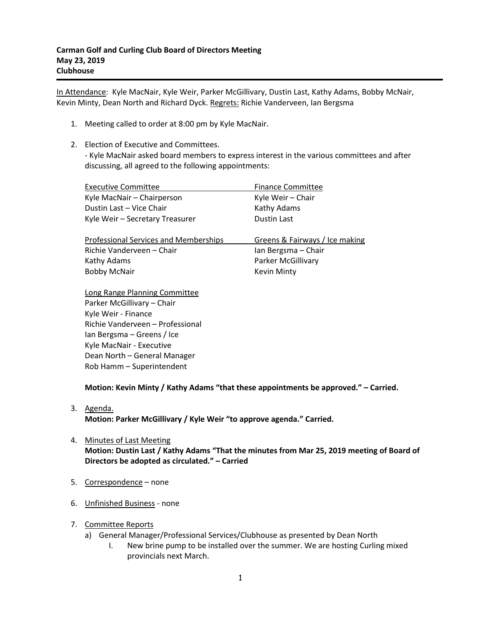In Attendance: Kyle MacNair, Kyle Weir, Parker McGillivary, Dustin Last, Kathy Adams, Bobby McNair, Kevin Minty, Dean North and Richard Dyck. Regrets: Richie Vanderveen, Ian Bergsma

- 1. Meeting called to order at 8:00 pm by Kyle MacNair.
- 2. Election of Executive and Committees. - Kyle MacNair asked board members to express interest in the various committees and after discussing, all agreed to the following appointments:

| <b>Executive Committee</b>                   | <b>Finance Committee</b>       |
|----------------------------------------------|--------------------------------|
| Kyle MacNair - Chairperson                   | Kyle Weir - Chair              |
| Dustin Last - Vice Chair                     | Kathy Adams                    |
| Kyle Weir - Secretary Treasurer              | <b>Dustin Last</b>             |
|                                              |                                |
|                                              |                                |
| <b>Professional Services and Memberships</b> | Greens & Fairways / Ice making |
| Richie Vanderveen – Chair                    | Ian Bergsma - Chair            |
| Kathy Adams                                  | Parker McGillivary             |
| <b>Bobby McNair</b>                          | <b>Kevin Minty</b>             |

Long Range Planning Committee Parker McGillivary – Chair Kyle Weir - Finance Richie Vanderveen – Professional Ian Bergsma – Greens / Ice Kyle MacNair - Executive Dean North – General Manager Rob Hamm – Superintendent

**Motion: Kevin Minty / Kathy Adams "that these appointments be approved." – Carried.**

3. Agenda.

**Motion: Parker McGillivary / Kyle Weir "to approve agenda." Carried.**

- 4. Minutes of Last Meeting **Motion: Dustin Last / Kathy Adams "That the minutes from Mar 25, 2019 meeting of Board of Directors be adopted as circulated." – Carried**
- 5. Correspondence none
- 6. Unfinished Business none
- 7. Committee Reports
	- a) General Manager/Professional Services/Clubhouse as presented by Dean North
		- I. New brine pump to be installed over the summer. We are hosting Curling mixed provincials next March.